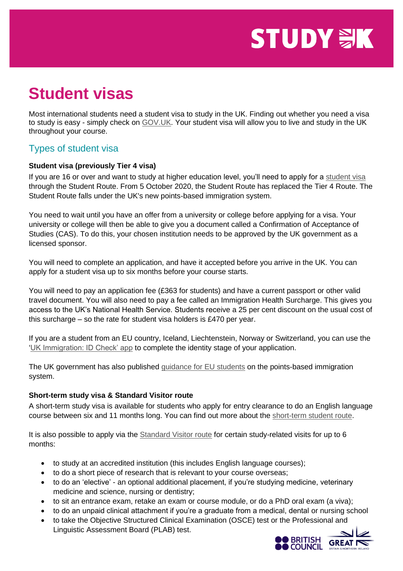# **STUDY WK**

# **Student visas**

Most international students need a student visa to study in the UK. Finding out whether you need a visa to study is easy - simply check on [GOV.UK.](http://www.gov.uk/check-uk-visa) Your student visa will allow you to live and study in the UK throughout your course.

# Types of student visa

#### **Student visa (previously Tier 4 visa)**

If you are 16 or over and want to study at higher education level, you'll need to apply for a [student visa](https://www.gov.uk/student-visa) through the Student Route. From 5 October 2020, the Student Route has replaced the Tier 4 Route. The Student Route falls under the UK's new points-based immigration system.

You need to wait until you have an offer from a university or college before applying for a visa. Your university or college will then be able to give you a document called a Confirmation of Acceptance of Studies (CAS). To do this, your chosen institution needs to be approved by the UK government as a licensed sponsor.

You will need to complete an application, and have it accepted before you arrive in the UK. You can apply for a student visa up to six months before your course starts.

You will need to pay an application fee (£363 for students) and have a current passport or other valid travel document. You will also need to pay a fee called an Immigration Health Surcharge. This gives you access to the UK's National Health Service. Students receive a 25 per cent discount on the usual cost of this surcharge – so the rate for student visa holders is £470 per year.

If you are a student from an EU country, Iceland, Liechtenstein, Norway or Switzerland, you can use the ['UK Immigration: ID Check' app](https://www.gov.uk/guidance/using-the-uk-immigration-id-check-app) to complete the identity stage of your application.

The UK government has also published [guidance for EU students](https://www.gov.uk/government/publications/uk-points-based-immigration-system-eu-student-information) on the points-based immigration system.

#### **Short-term study visa & Standard Visitor route**

A short-term study visa is available for students who apply for entry clearance to do an English language course between six and 11 months long. You can find out more about the [short-term student route.](https://www.gov.uk/visa-to-study-english)

It is also possible to apply via the [Standard Visitor route](https://www.gov.uk/standard-visitor/visit-to-study) for certain study-related visits for up to 6 months:

- to study at an accredited institution (this includes English language courses);
- to do a short piece of research that is relevant to your course overseas;
- to do an 'elective' an optional additional placement, if you're studying medicine, veterinary medicine and science, nursing or dentistry;
- to sit an entrance exam, retake an exam or course module, or do a PhD oral exam (a viva);
- to do an unpaid clinical attachment if you're a graduate from a medical, dental or nursing school
- to take the Objective Structured Clinical Examination (OSCE) test or the Professional and Linguistic Assessment Board (PLAB) test.